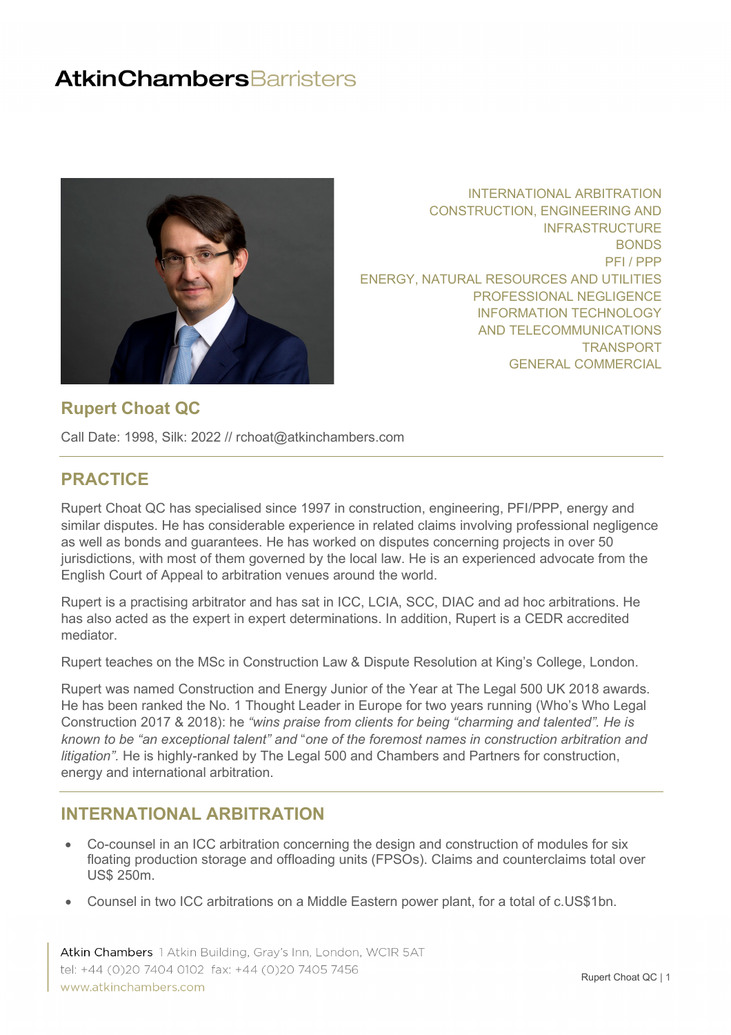

INTERNATIONAL ARBITRATION CONSTRUCTION, ENGINEERING AND INFRASTRUCTURE BONDS PFI / PPP ENERGY, NATURAL RESOURCES AND UTILITIES PROFESSIONAL NEGLIGENCE INFORMATION TECHNOLOGY AND TELECOMMUNICATIONS [TRANSPORT](#page-3-0) GENERAL COMMERCIAL

#### **Rupert Choat QC**

Call Date: 1998, Silk: 2022 // rchoat@atkinchambers.com

## **PRACTICE**

Rupert Choat QC has specialised since 1997 in construction, engineering, PFI/PPP, energy and similar disputes. He has considerable experience in related claims involving professional negligence as well as bonds and guarantees. He has worked on disputes concerning projects in over 50 jurisdictions, with most of them governed by the local law. He is an experienced advocate from the English Court of Appeal to arbitration venues around the world.

Rupert is a practising arbitrator and has sat in ICC, LCIA, SCC, DIAC and ad hoc arbitrations. He has also acted as the expert in expert determinations. In addition, Rupert is a CEDR accredited mediator.

Rupert teaches on the MSc in Construction Law & Dispute Resolution at King's College, London.

Rupert was named Construction and Energy Junior of the Year at The Legal 500 UK 2018 awards. He has been ranked the No. 1 Thought Leader in Europe for two years running (Who's Who Legal Construction 2017 & 2018): he *"wins praise from clients for being "charming and talented". He is known to be "an exceptional talent" and* "*one of the foremost names in construction arbitration and litigation".* He is highly-ranked by The Legal 500 and Chambers and Partners for construction, energy and international arbitration.

#### **INTERNATIONAL ARBITRATION**

- Co-counsel in an ICC arbitration concerning the design and construction of modules for six floating production storage and offloading units (FPSOs). Claims and counterclaims total over US\$ 250m.
- Counsel in two ICC arbitrations on a Middle Eastern power plant, for a total of c.US\$1bn.

Atkin Chambers 1 Atkin Building, Gray's Inn, London, WCIR 5AT tel: +44 (0)20 7404 0102 fax: +44 (0)20 7405 7456 www.atkinchambers.com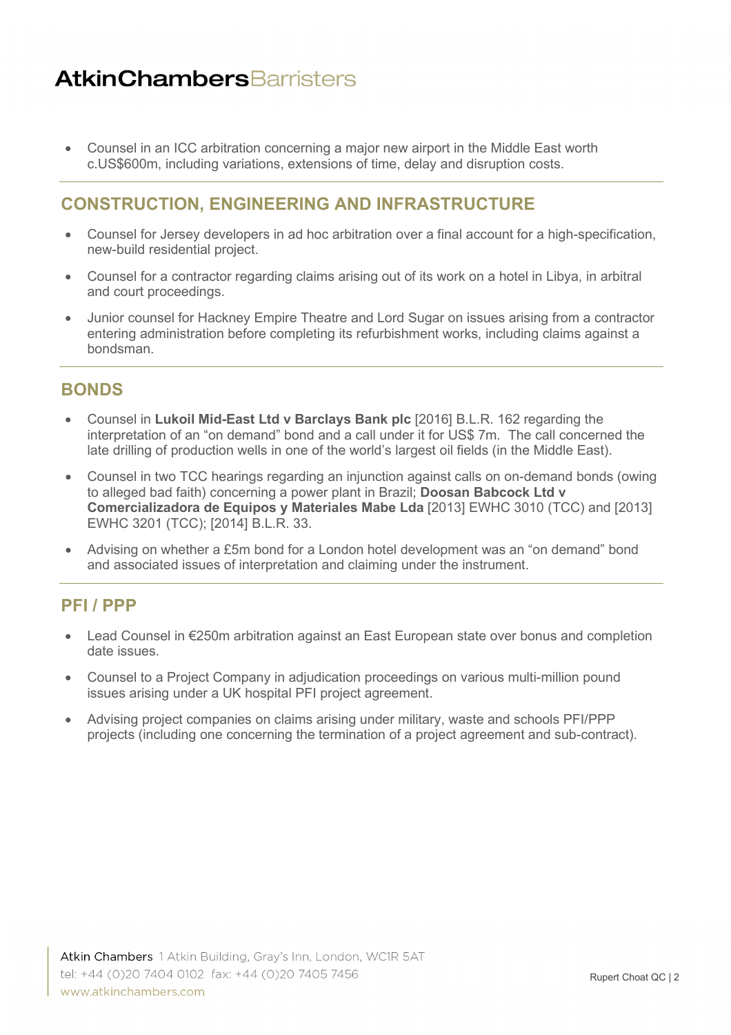• Counsel in an ICC arbitration concerning a major new airport in the Middle East worth c.US\$600m, including variations, extensions of time, delay and disruption costs.

### **CONSTRUCTION, ENGINEERING AND INFRASTRUCTURE**

- Counsel for Jersey developers in ad hoc arbitration over a final account for a high-specification, new-build residential project.
- Counsel for a contractor regarding claims arising out of its work on a hotel in Libya, in arbitral and court proceedings.
- Junior counsel for Hackney Empire Theatre and Lord Sugar on issues arising from a contractor entering administration before completing its refurbishment works, including claims against a bondsman.

#### **BONDS**

- Counsel in **Lukoil Mid-East Ltd v Barclays Bank plc** [2016] B.L.R. 162 regarding the interpretation of an "on demand" bond and a call under it for US\$ 7m. The call concerned the late drilling of production wells in one of the world's largest oil fields (in the Middle East).
- Counsel in two TCC hearings regarding an injunction against calls on on-demand bonds (owing to alleged bad faith) concerning a power plant in Brazil; **Doosan Babcock Ltd v Comercializadora de Equipos y Materiales Mabe Lda** [2013] EWHC 3010 (TCC) and [2013] EWHC 3201 (TCC); [2014] B.L.R. 33.
- Advising on whether a £5m bond for a London hotel development was an "on demand" bond and associated issues of interpretation and claiming under the instrument.

## **PFI / PPP**

- Lead Counsel in €250m arbitration against an East European state over bonus and completion date issues.
- Counsel to a Project Company in adjudication proceedings on various multi-million pound issues arising under a UK hospital PFI project agreement.
- Advising project companies on claims arising under military, waste and schools PFI/PPP projects (including one concerning the termination of a project agreement and sub-contract).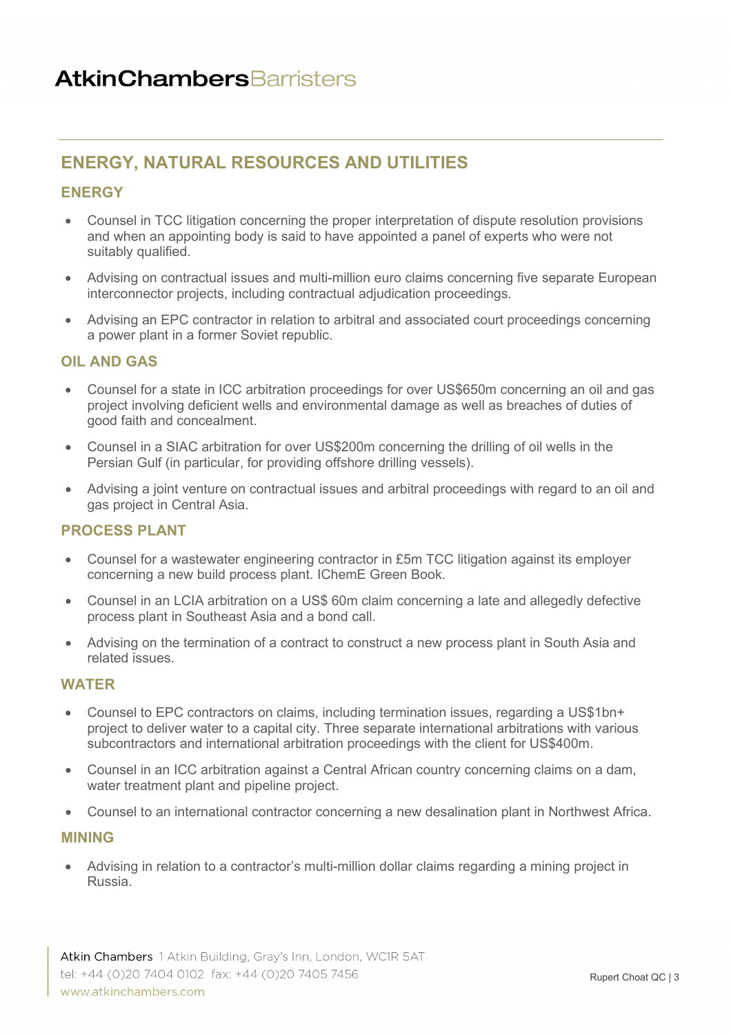## **ENERGY, NATURAL RESOURCES AND UTILITIES**

#### **ENERGY**

- Counsel in TCC litigation concerning the proper interpretation of dispute resolution provisions and when an appointing body is said to have appointed a panel of experts who were not suitably qualified.
- Advising on contractual issues and multi-million euro claims concerning five separate European interconnector projects, including contractual adjudication proceedings.
- Advising an EPC contractor in relation to arbitral and associated court proceedings concerning a power plant in a former Soviet republic.

#### **OIL AND GAS**

- Counsel for a state in ICC arbitration proceedings for over US\$650m concerning an oil and gas project involving deficient wells and environmental damage as well as breaches of duties of good faith and concealment.
- Counsel in a SIAC arbitration for over US\$200m concerning the drilling of oil wells in the Persian Gulf (in particular, for providing offshore drilling vessels).
- Advising a joint venture on contractual issues and arbitral proceedings with regard to an oil and gas project in Central Asia.

#### **PROCESS PLANT**

- Counsel for a wastewater engineering contractor in £5m TCC litigation against its employer concerning a new build process plant. IChemE Green Book.
- Counsel in an LCIA arbitration on a US\$ 60m claim concerning a late and allegedly defective process plant in Southeast Asia and a bond call.
- Advising on the termination of a contract to construct a new process plant in South Asia and related issues.

#### **WATER**

- Counsel to EPC contractors on claims, including termination issues, regarding a US\$1bn+ project to deliver water to a capital city. Three separate international arbitrations with various subcontractors and international arbitration proceedings with the client for US\$400m.
- Counsel in an ICC arbitration against a Central African country concerning claims on a dam, water treatment plant and pipeline project.
- Counsel to an international contractor concerning a new desalination plant in Northwest Africa.

#### **MINING**

• Advising in relation to a contractor's multi-million dollar claims regarding a mining project in Russia.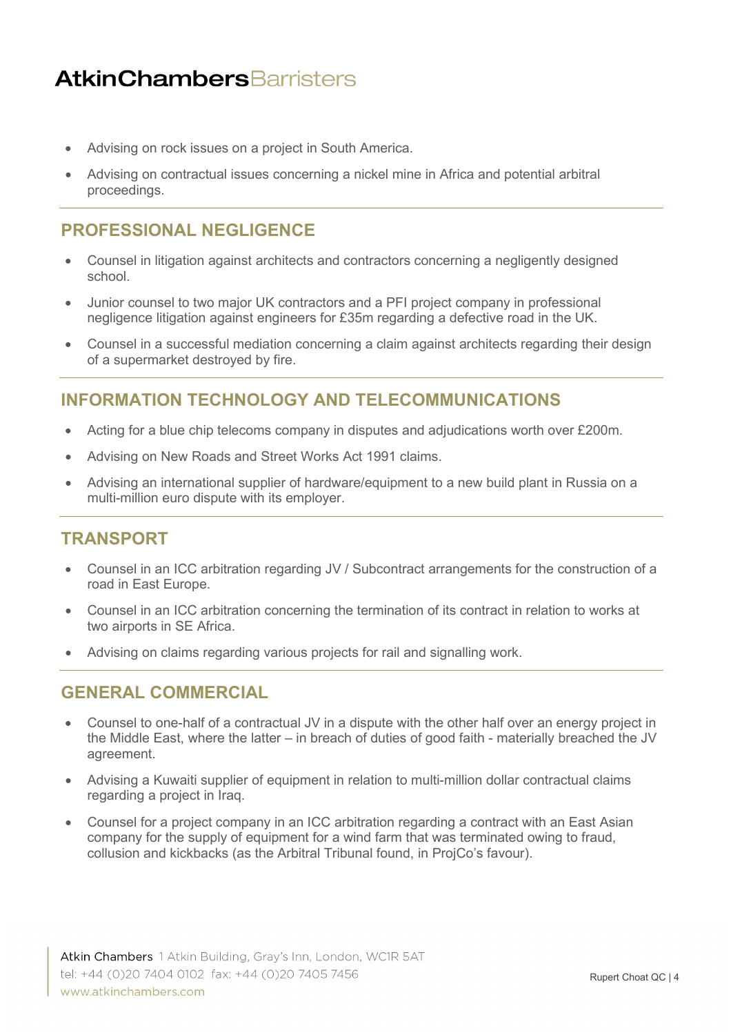- Advising on rock issues on a project in South America.
- Advising on contractual issues concerning a nickel mine in Africa and potential arbitral proceedings.

## **PROFESSIONAL NEGLIGENCE**

- Counsel in litigation against architects and contractors concerning a negligently designed school.
- Junior counsel to two major UK contractors and a PFI project company in professional negligence litigation against engineers for £35m regarding a defective road in the UK.
- Counsel in a successful mediation concerning a claim against architects regarding their design of a supermarket destroyed by fire.

### **INFORMATION TECHNOLOGY AND TELECOMMUNICATIONS**

- Acting for a blue chip telecoms company in disputes and adjudications worth over £200m.
- Advising on New Roads and Street Works Act 1991 claims.
- Advising an international supplier of hardware/equipment to a new build plant in Russia on a multi-million euro dispute with its employer.

#### <span id="page-3-0"></span>**TRANSPORT**

- Counsel in an ICC arbitration regarding JV / Subcontract arrangements for the construction of a road in East Europe.
- Counsel in an ICC arbitration concerning the termination of its contract in relation to works at two airports in SE Africa.
- Advising on claims regarding various projects for rail and signalling work.

#### **GENERAL COMMERCIAL**

- Counsel to one-half of a contractual JV in a dispute with the other half over an energy project in the Middle East, where the latter – in breach of duties of good faith - materially breached the JV agreement.
- Advising a Kuwaiti supplier of equipment in relation to multi-million dollar contractual claims regarding a project in Iraq.
- Counsel for a project company in an ICC arbitration regarding a contract with an East Asian company for the supply of equipment for a wind farm that was terminated owing to fraud, collusion and kickbacks (as the Arbitral Tribunal found, in ProjCo's favour).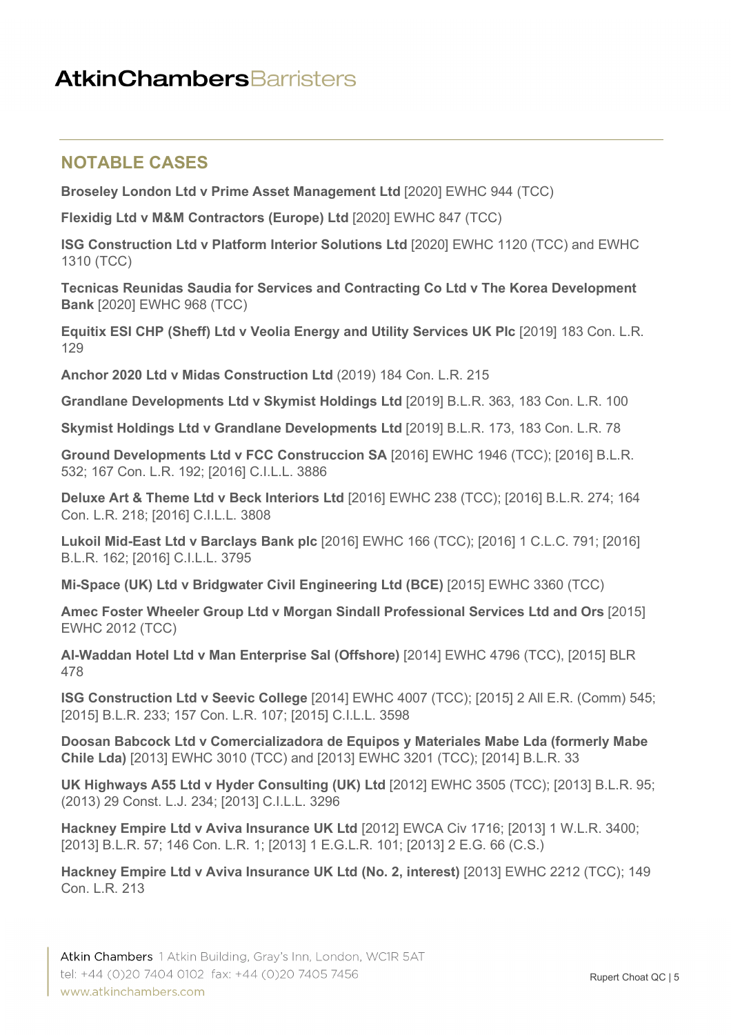### **NOTABLE CASES**

**Broseley London Ltd v Prime Asset Management Ltd** [2020] EWHC 944 (TCC)

**Flexidig Ltd v M&M Contractors (Europe) Ltd** [2020] EWHC 847 (TCC)

**ISG Construction Ltd v Platform Interior Solutions Ltd** [2020] EWHC 1120 (TCC) and EWHC 1310 (TCC)

**Tecnicas Reunidas Saudia for Services and Contracting Co Ltd v The Korea Development Bank** [2020] EWHC 968 (TCC)

**Equitix ESI CHP (Sheff) Ltd v Veolia Energy and Utility Services UK Plc** [2019] 183 Con. L.R. 129

**Anchor 2020 Ltd v Midas Construction Ltd** (2019) 184 Con. L.R. 215

**Grandlane Developments Ltd v Skymist Holdings Ltd** [2019] B.L.R. 363, 183 Con. L.R. 100

**Skymist Holdings Ltd v Grandlane Developments Ltd** [2019] B.L.R. 173, 183 Con. L.R. 78

**Ground Developments Ltd v FCC Construccion SA** [2016] EWHC 1946 (TCC); [2016] B.L.R. 532; 167 Con. L.R. 192; [2016] C.I.L.L. 3886

**Deluxe Art & Theme Ltd v Beck Interiors Ltd** [2016] EWHC 238 (TCC); [2016] B.L.R. 274; 164 Con. L.R. 218; [2016] C.I.L.L. 3808

**Lukoil Mid-East Ltd v Barclays Bank plc** [2016] EWHC 166 (TCC); [2016] 1 C.L.C. 791; [2016] B.L.R. 162; [2016] C.I.L.L. 3795

**Mi-Space (UK) Ltd v Bridgwater Civil Engineering Ltd (BCE)** [2015] EWHC 3360 (TCC)

**Amec Foster Wheeler Group Ltd v Morgan Sindall Professional Services Ltd and Ors** [2015] EWHC 2012 (TCC)

**Al-Waddan Hotel Ltd v Man Enterprise Sal (Offshore)** [2014] EWHC 4796 (TCC), [2015] BLR 478

**ISG Construction Ltd v Seevic College** [2014] EWHC 4007 (TCC); [2015] 2 All E.R. (Comm) 545; [2015] B.L.R. 233; 157 Con. L.R. 107; [2015] C.I.L.L. 3598

**Doosan Babcock Ltd v Comercializadora de Equipos y Materiales Mabe Lda (formerly Mabe Chile Lda)** [2013] EWHC 3010 (TCC) and [2013] EWHC 3201 (TCC); [2014] B.L.R. 33

**UK Highways A55 Ltd v Hyder Consulting (UK) Ltd** [2012] EWHC 3505 (TCC); [2013] B.L.R. 95; (2013) 29 Const. L.J. 234; [2013] C.I.L.L. 3296

**Hackney Empire Ltd v Aviva Insurance UK Ltd** [2012] EWCA Civ 1716; [2013] 1 W.L.R. 3400; [2013] B.L.R. 57; 146 Con. L.R. 1; [2013] 1 E.G.L.R. 101; [2013] 2 E.G. 66 (C.S.)

**Hackney Empire Ltd v Aviva Insurance UK Ltd (No. 2, interest)** [2013] EWHC 2212 (TCC); 149 Con. L.R. 213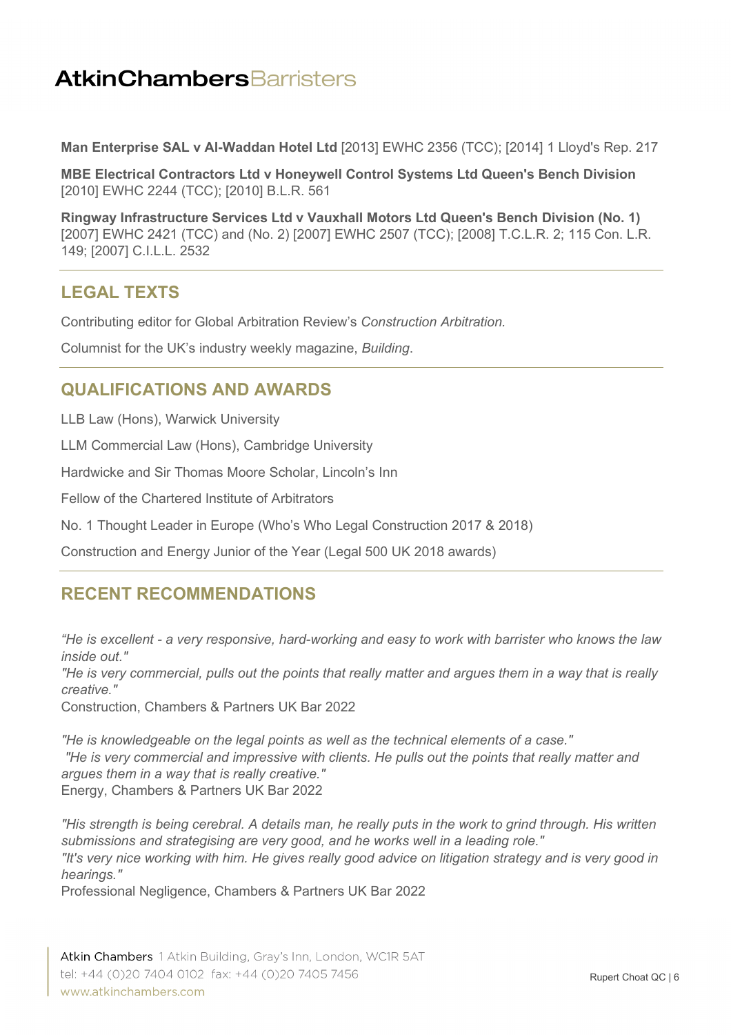**Man Enterprise SAL v Al-Waddan Hotel Ltd** [2013] EWHC 2356 (TCC); [2014] 1 Lloyd's Rep. 217

**MBE Electrical Contractors Ltd v Honeywell Control Systems Ltd Queen's Bench Division**  [2010] EWHC 2244 (TCC); [2010] B.L.R. 561

**Ringway Infrastructure Services Ltd v Vauxhall Motors Ltd Queen's Bench Division (No. 1)**  [2007] EWHC 2421 (TCC) and (No. 2) [2007] EWHC 2507 (TCC); [2008] T.C.L.R. 2; 115 Con. L.R. 149; [2007] C.I.L.L. 2532

## **LEGAL TEXTS**

Contributing editor for Global Arbitration Review's *Construction Arbitration.*

Columnist for the UK's industry weekly magazine, *Building*.

### **QUALIFICATIONS AND AWARDS**

LLB Law (Hons), Warwick University

LLM Commercial Law (Hons), Cambridge University

Hardwicke and Sir Thomas Moore Scholar, Lincoln's Inn

Fellow of the Chartered Institute of Arbitrators

No. 1 Thought Leader in Europe (Who's Who Legal Construction 2017 & 2018)

Construction and Energy Junior of the Year (Legal 500 UK 2018 awards)

## **RECENT RECOMMENDATIONS**

*"He is excellent - a very responsive, hard-working and easy to work with barrister who knows the law inside out."* 

*"He is very commercial, pulls out the points that really matter and argues them in a way that is really creative."*

Construction, Chambers & Partners UK Bar 2022

*"He is knowledgeable on the legal points as well as the technical elements of a case." "He is very commercial and impressive with clients. He pulls out the points that really matter and argues them in a way that is really creative."* Energy, Chambers & Partners UK Bar 2022

*"His strength is being cerebral. A details man, he really puts in the work to grind through. His written submissions and strategising are very good, and he works well in a leading role." "It's very nice working with him. He gives really good advice on litigation strategy and is very good in hearings."*

Professional Negligence, Chambers & Partners UK Bar 2022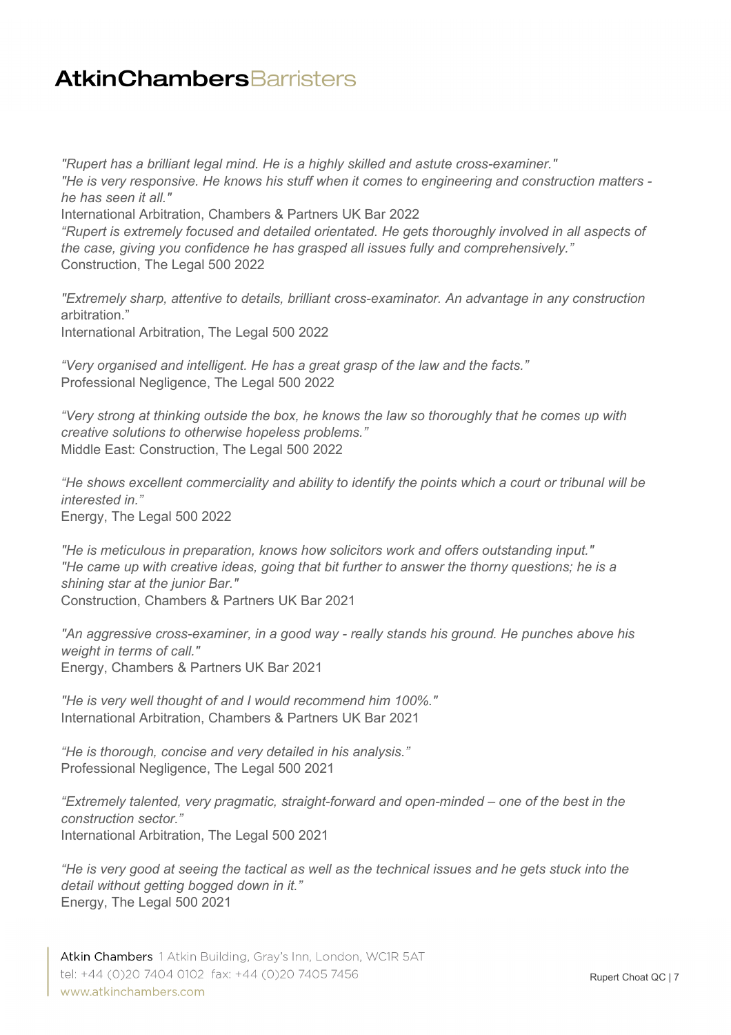*"Rupert has a brilliant legal mind. He is a highly skilled and astute cross-examiner." "He is very responsive. He knows his stuff when it comes to engineering and construction matters he has seen it all."*

International Arbitration, Chambers & Partners UK Bar 2022

*"Rupert is extremely focused and detailed orientated. He gets thoroughly involved in all aspects of the case, giving you confidence he has grasped all issues fully and comprehensively."* Construction, The Legal 500 2022

*"Extremely sharp, attentive to details, brilliant cross-examinator. An advantage in any construction*  arbitration."

International Arbitration, The Legal 500 2022

*"Very organised and intelligent. He has a great grasp of the law and the facts."* Professional Negligence, The Legal 500 2022

*"Very strong at thinking outside the box, he knows the law so thoroughly that he comes up with creative solutions to otherwise hopeless problems."* Middle East: Construction, The Legal 500 2022

*"He shows excellent commerciality and ability to identify the points which a court or tribunal will be interested in."*

Energy, The Legal 500 2022

*"He is meticulous in preparation, knows how solicitors work and offers outstanding input." "He came up with creative ideas, going that bit further to answer the thorny questions; he is a shining star at the junior Bar."*  Construction, Chambers & Partners UK Bar 2021

*"An aggressive cross-examiner, in a good way - really stands his ground. He punches above his weight in terms of call."* Energy, Chambers & Partners UK Bar 2021

*"He is very well thought of and I would recommend him 100%."* International Arbitration, Chambers & Partners UK Bar 2021

*"He is thorough, concise and very detailed in his analysis."* Professional Negligence, The Legal 500 2021

*"Extremely talented, very pragmatic, straight-forward and open-minded – one of the best in the construction sector."* International Arbitration, The Legal 500 2021

*"He is very good at seeing the tactical as well as the technical issues and he gets stuck into the detail without getting bogged down in it."* Energy, The Legal 500 2021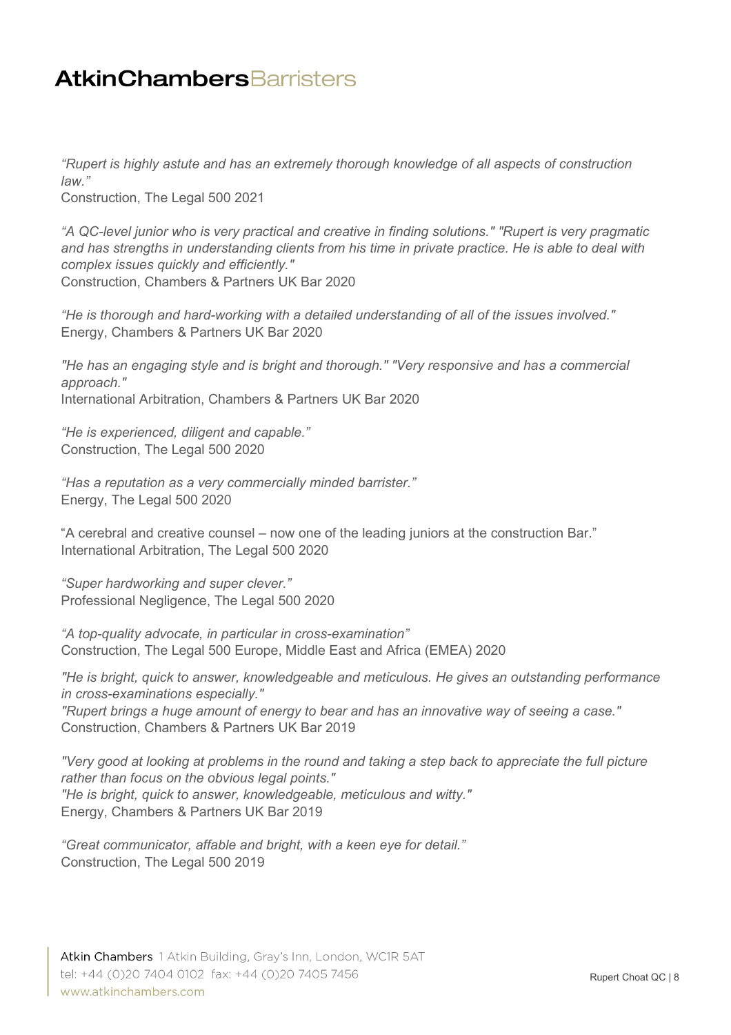*"Rupert is highly astute and has an extremely thorough knowledge of all aspects of construction law."*

Construction, The Legal 500 2021

*"A QC-level junior who is very practical and creative in finding solutions." "Rupert is very pragmatic and has strengths in understanding clients from his time in private practice. He is able to deal with complex issues quickly and efficiently."* Construction, Chambers & Partners UK Bar 2020

*"He is thorough and hard-working with a detailed understanding of all of the issues involved."* Energy, Chambers & Partners UK Bar 2020

*"He has an engaging style and is bright and thorough." "Very responsive and has a commercial approach."* International Arbitration, Chambers & Partners UK Bar 2020

*"He is experienced, diligent and capable."* Construction, The Legal 500 2020

*"Has a reputation as a very commercially minded barrister."* Energy, The Legal 500 2020

"A cerebral and creative counsel – now one of the leading juniors at the construction Bar." International Arbitration, The Legal 500 2020

*"Super hardworking and super clever."* Professional Negligence, The Legal 500 2020

*"A top-quality advocate, in particular in cross-examination"* Construction, The Legal 500 Europe, Middle East and Africa (EMEA) 2020

*"He is bright, quick to answer, knowledgeable and meticulous. He gives an outstanding performance in cross-examinations especially."* 

*"Rupert brings a huge amount of energy to bear and has an innovative way of seeing a case."* Construction, Chambers & Partners UK Bar 2019

*"Very good at looking at problems in the round and taking a step back to appreciate the full picture rather than focus on the obvious legal points." "He is bright, quick to answer, knowledgeable, meticulous and witty."* Energy, Chambers & Partners UK Bar 2019

*"Great communicator, affable and bright, with a keen eye for detail."* Construction, The Legal 500 2019